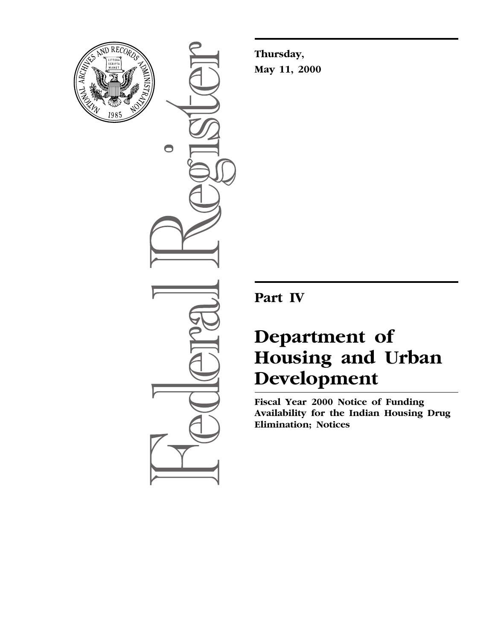

 $\bullet$ 

**Thursday, May 11, 2000**

**Part IV**

# **Department of Housing and Urban Development**

**Fiscal Year 2000 Notice of Funding Availability for the Indian Housing Drug Elimination; Notices**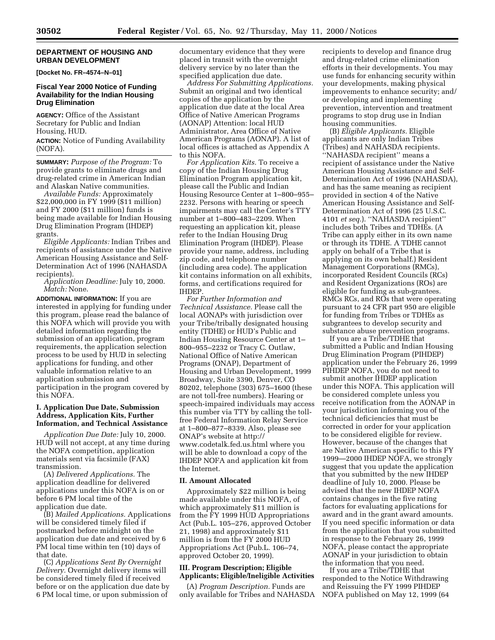#### **DEPARTMENT OF HOUSING AND URBAN DEVELOPMENT**

**[Docket No. FR–4574–N–01]**

#### **Fiscal Year 2000 Notice of Funding Availability for the Indian Housing Drug Elimination**

**AGENCY:** Office of the Assistant Secretary for Public and Indian Housing, HUD. **ACTION:** Notice of Funding Availability

(NOFA).

**SUMMARY:** *Purpose of the Program:* To provide grants to eliminate drugs and drug-related crime in American Indian and Alaskan Native communities.

*Available Funds:* Approximately \$22,000,000 in FY 1999 (\$11 million) and FY 2000 (\$11 million) funds is being made available for Indian Housing Drug Elimination Program (IHDEP) grants.

*Eligible Applicants:* Indian Tribes and recipients of assistance under the Native American Housing Assistance and Self-Determination Act of 1996 (NAHASDA recipients).

*Application Deadline:* July 10, 2000. *Match:* None.

**ADDITIONAL INFORMATION:** If you are interested in applying for funding under this program, please read the balance of this NOFA which will provide you with detailed information regarding the submission of an application, program requirements, the application selection process to be used by HUD in selecting applications for funding, and other valuable information relative to an application submission and participation in the program covered by this NOFA.

#### **I. Application Due Date, Submission Address, Application Kits, Further Information, and Technical Assistance**

*Application Due Date:* July 10, 2000. HUD will not accept, at any time during the NOFA competition, application materials sent via facsimile (FAX) transmission.

(A) *Delivered Applications.* The application deadline for delivered applications under this NOFA is on or before 6 PM local time of the application due date.

(B) *Mailed Applications.* Applications will be considered timely filed if postmarked before midnight on the application due date and received by 6 PM local time within ten (10) days of that date.

(C) *Applications Sent By Overnight Delivery.* Overnight delivery items will be considered timely filed if received before or on the application due date by 6 PM local time, or upon submission of

documentary evidence that they were placed in transit with the overnight delivery service by no later than the specified application due date.

*Address For Submitting Applications.* Submit an original and two identical copies of the application by the application due date at the local Area Office of Native American Programs (AONAP) Attention: local HUD Administrator, Area Office of Native American Programs (AONAP). A list of local offices is attached as Appendix A to this NOFA.

*For Application Kits.* To receive a copy of the Indian Housing Drug Elimination Program application kit, please call the Public and Indian Housing Resource Center at 1–800–955– 2232. Persons with hearing or speech impairments may call the Center's TTY number at 1–800–483–2209. When requesting an application kit, please refer to the Indian Housing Drug Elimination Program (IHDEP). Please provide your name, address, including zip code, and telephone number (including area code). The application kit contains information on all exhibits, forms, and certifications required for IHDEP.

*For Further Information and Technical Assistance.* Please call the local AONAPs with jurisdiction over your Tribe/tribally designated housing entity (TDHE) or HUD's Public and Indian Housing Resource Center at 1– 800–955–2232 or Tracy C. Outlaw, National Office of Native American Programs (ONAP), Department of Housing and Urban Development, 1999 Broadway, Suite 3390, Denver, CO 80202, telephone (303) 675–1600 (these are not toll-free numbers). Hearing or speech-impaired individuals may access this number via TTY by calling the tollfree Federal Information Relay Service at 1–800–877–8339. Also, please see ONAP's website at http:// www.codetalk.fed.us.html where you will be able to download a copy of the IHDEP NOFA and application kit from the Internet.

#### **II. Amount Allocated**

Approximately \$22 million is being made available under this NOFA, of which approximately \$11 million is from the FY 1999 HUD Appropriations Act (Pub.L. 105–276, approved October 21, 1998) and approximately \$11 million is from the FY 2000 HUD Appropriations Act (Pub.L. 106–74, approved October 20, 1999).

#### **III. Program Description; Eligible Applicants; Eligible/Ineligible Activities**

(A) *Program Description.* Funds are only available for Tribes and NAHASDA recipients to develop and finance drug and drug-related crime elimination efforts in their developments. You may use funds for enhancing security within your developments, making physical improvements to enhance security; and/ or developing and implementing prevention, intervention and treatment programs to stop drug use in Indian housing communities.

(B) *Eligible Applicants.* Eligible applicants are only Indian Tribes (Tribes) and NAHASDA recipients. ''NAHASDA recipient'' means a recipient of assistance under the Native American Housing Assistance and Self-Determination Act of 1996 (NAHASDA), and has the same meaning as recipient provided in section 4 of the Native American Housing Assistance and Self-Determination Act of 1996 (25 U.S.C. 4101 *et seq.*). ''NAHASDA recipient'' includes both Tribes and TDHEs. (A Tribe can apply either in its own name or through its TDHE. A TDHE cannot apply on behalf of a Tribe that is applying on its own behalf.) Resident Management Corporations (RMCs), incorporated Resident Councils (RCs) and Resident Organizations (ROs) are eligible for funding as sub-grantees. RMCs RCs, and ROs that were operating pursuant to 24 CFR part 950 are eligible for funding from Tribes or TDHEs as subgrantees to develop security and substance abuse prevention programs.

If you are a Tribe/TDHE that submitted a Public and Indian Housing Drug Elimination Program (PIHDEP) application under the February 26, 1999 PIHDEP NOFA, you do not need to submit another IHDEP application under this NOFA. This application will be considered complete unless you receive notification from the AONAP in your jurisdiction informing you of the technical deficiencies that must be corrected in order for your application to be considered eligible for review. However, because of the changes that are Native American specific to this FY 1999—2000 IHDEP NOFA, we strongly suggest that you update the application that you submitted by the new IHDEP deadline of July 10, 2000. Please be advised that the new IHDEP NOFA contains changes in the five rating factors for evaluating applications for award and in the grant award amounts. If you need specific information or data from the application that you submitted in response to the February 26, 1999 NOFA, please contact the appropriate AONAP in your jurisdiction to obtain the information that you need.

If you are a Tribe/TDHE that responded to the Notice Withdrawing and Reissuing the FY 1999 PIHDEP NOFA published on May 12, 1999 (64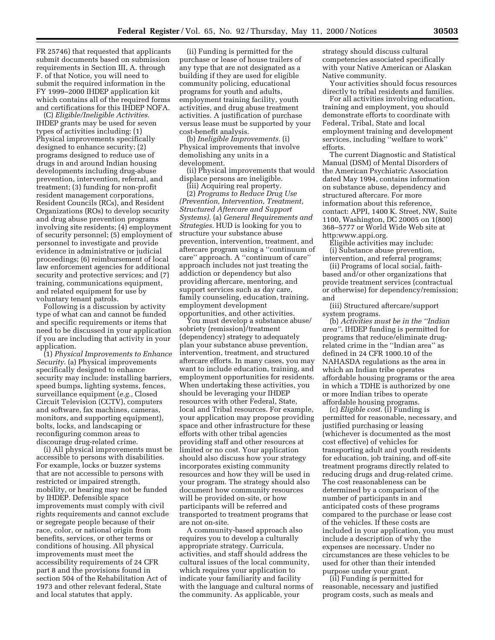FR 25746) that requested that applicants submit documents based on submission requirements in Section III, A. through F. of that Notice, you will need to submit the required information in the FY 1999–2000 IHDEP application kit which contains all of the required forms and certifications for this IHDEP NOFA.

(C) *Eligible/Ineligible Activities.* IHDEP grants may be used for seven types of activities including: (1) Physical improvements specifically designed to enhance security; (2) programs designed to reduce use of drugs in and around Indian housing developments including drug-abuse prevention, intervention, referral, and treatment; (3) funding for non-profit resident management corporations, Resident Councils (RCs), and Resident Organizations (ROs) to develop security and drug abuse prevention programs involving site residents; (4) employment of security personnel; (5) employment of personnel to investigate and provide evidence in administrative or judicial proceedings; (6) reimbursement of local law enforcement agencies for additional security and protective services; and (7) training, communications equipment, and related equipment for use by voluntary tenant patrols.

Following is a discussion by activity type of what can and cannot be funded and specific requirements or items that need to be discussed in your application if you are including that activity in your application.

(1) *Physical Improvements to Enhance Security.* (a) Physical improvements specifically designed to enhance security may include: installing barriers, speed bumps, lighting systems, fences, surveillance equipment (*e.g.,* Closed Circuit Television (CCTV), computers and software, fax machines, cameras, monitors, and supporting equipment), bolts, locks, and landscaping or reconfiguring common areas to discourage drug-related crime.

(i) All physical improvements must be accessible to persons with disabilities. For example, locks or buzzer systems that are not accessible to persons with restricted or impaired strength, mobility, or hearing may not be funded by IHDEP. Defensible space improvements must comply with civil rights requirements and cannot exclude or segregate people because of their race, color, or national origin from benefits, services, or other terms or conditions of housing. All physical improvements must meet the accessibility requirements of 24 CFR part 8 and the provisions found in section 504 of the Rehabilitation Act of 1973 and other relevant federal, State and local statutes that apply.

(ii) Funding is permitted for the purchase or lease of house trailers of any type that are not designated as a building if they are used for eligible community policing, educational programs for youth and adults, employment training facility, youth activities, and drug abuse treatment activities. A justification of purchase versus lease must be supported by your cost-benefit analysis.

(b) *Ineligible Improvements.* (i) Physical improvements that involve demolishing any units in a development.

(ii) Physical improvements that would displace persons are ineligible.

(iii) Acquiring real property.

(2) *Programs to Reduce Drug Use (Prevention, Intervention, Treatment, Structured Aftercare and Support Systems).* (a) *General Requirements and Strategies.* HUD is looking for you to structure your substance abuse prevention, intervention, treatment, and aftercare program using a ''continuum of care'' approach. A ''continuum of care'' approach includes not just treating the addiction or dependency but also providing aftercare, mentoring, and support services such as day care, family counseling, education, training, employment development opportunities, and other activities.

You must develop a substance abuse/ sobriety (remission)/treatment (dependency) strategy to adequately plan your substance abuse prevention, intervention, treatment, and structured aftercare efforts. In many cases, you may want to include education, training, and employment opportunities for residents. When undertaking these activities, you should be leveraging your IHDEP resources with other Federal, State, local and Tribal resources. For example, your application may propose providing space and other infrastructure for these efforts with other tribal agencies providing staff and other resources at limited or no cost. Your application should also discuss how your strategy incorporates existing community resources and how they will be used in your program. The strategy should also document how community resources will be provided on-site, or how participants will be referred and transported to treatment programs that are not on-site.

A community-based approach also requires you to develop a culturally appropriate strategy. Curricula, activities, and staff should address the cultural issues of the local community, which requires your application to indicate your familiarity and facility with the language and cultural norms of the community. As applicable, your

strategy should discuss cultural competencies associated specifically with your Native American or Alaskan Native community.

Your activities should focus resources directly to tribal residents and families.

For all activities involving education, training and employment, you should demonstrate efforts to coordinate with Federal, Tribal, State and local employment training and development services, including ''welfare to work'' efforts.

The current Diagnostic and Statistical Manual (DSM) of Mental Disorders of the American Psychiatric Association dated May 1994, contains information on substance abuse, dependency and structured aftercare. For more information about this reference, contact: APPI, 1400 K. Street, NW, Suite 1100, Washington, DC 20005 on 1(800) 368–5777 or World Wide Web site at http:www.appi.org.

Eligible activities may include: (i) Substance abuse prevention, intervention, and referral programs;

(ii) Programs of local social, faithbased and/or other organizations that provide treatment services (contractual or otherwise) for dependency/remission; and

(iii) Structured aftercare/support system programs.

(b) *Activities must be in the ''Indian area''*. IHDEP funding is permitted for programs that reduce/eliminate drugrelated crime in the ''Indian area'' as defined in 24 CFR 1000.10 of the NAHASDA regulations as the area in which an Indian tribe operates affordable housing programs or the area in which a TDHE is authorized by one or more Indian tribes to operate affordable housing programs.

(c) *Eligible cost*. (i) Funding is permitted for reasonable, necessary, and justified purchasing or leasing (whichever is documented as the most cost effective) of vehicles for transporting adult and youth residents for education, job training, and off-site treatment programs directly related to reducing drugs and drug-related crime. The cost reasonableness can be determined by a comparison of the number of participants in and anticipated costs of these programs compared to the purchase or lease cost of the vehicles. If these costs are included in your application, you must include a description of why the expenses are necessary. Under no circumstances are these vehicles to be used for other than their intended purpose under your grant.

(ii) Funding is permitted for reasonable, necessary and justified program costs, such as meals and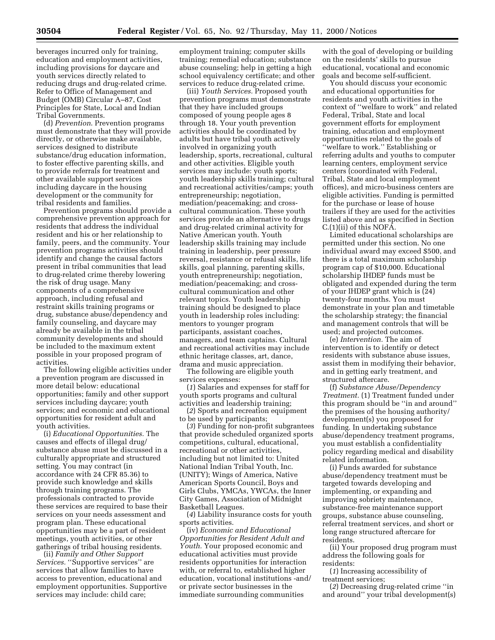beverages incurred only for training, education and employment activities, including provisions for daycare and youth services directly related to reducing drugs and drug-related crime. Refer to Office of Management and Budget (OMB) Circular A–87, Cost Principles for State, Local and Indian Tribal Governments.

(d) *Prevention*. Prevention programs must demonstrate that they will provide directly, or otherwise make available, services designed to distribute substance/drug education information, to foster effective parenting skills, and to provide referrals for treatment and other available support services including daycare in the housing development or the community for tribal residents and families.

Prevention programs should provide a comprehensive prevention approach for residents that address the individual resident and his or her relationship to family, peers, and the community. Your prevention programs activities should identify and change the causal factors present in tribal communities that lead to drug-related crime thereby lowering the risk of drug usage. Many components of a comprehensive approach, including refusal and restraint skills training programs or drug, substance abuse/dependency and family counseling, and daycare may already be available in the tribal community developments and should be included to the maximum extent possible in your proposed program of activities.

The following eligible activities under a prevention program are discussed in more detail below: educational opportunities; family and other support services including daycare; youth services; and economic and educational opportunities for resident adult and youth activities.

(i) *Educational Opportunities.* The causes and effects of illegal drug/ substance abuse must be discussed in a culturally appropriate and structured setting. You may contract (in accordance with 24 CFR 85.36) to provide such knowledge and skills through training programs. The professionals contracted to provide these services are required to base their services on your needs assessment and program plan. These educational opportunities may be a part of resident meetings, youth activities, or other gatherings of tribal housing residents.

(ii) *Family and Other Support* Services. "Supportive services" are services that allow families to have access to prevention, educational and employment opportunities. Supportive services may include: child care;

employment training; computer skills training; remedial education; substance abuse counseling; help in getting a high school equivalency certificate; and other services to reduce drug-related crime.

(iii) *Youth Services.* Proposed youth prevention programs must demonstrate that they have included groups composed of young people ages 8 through 18. Your youth prevention activities should be coordinated by adults but have tribal youth actively involved in organizing youth leadership, sports, recreational, cultural and other activities. Eligible youth services may include: youth sports; youth leadership skills training; cultural and recreational activities/camps; youth entrepreneurship; negotiation, mediation/peacemaking; and crosscultural communication. These youth services provide an alternative to drugs and drug-related criminal activity for Native American youth. Youth leadership skills training may include training in leadership, peer pressure reversal, resistance or refusal skills, life skills, goal planning, parenting skills, youth entrepreneurship; negotiation, mediation/peacemaking; and crosscultural communication and other relevant topics. Youth leadership training should be designed to place youth in leadership roles including: mentors to younger program participants, assistant coaches, managers, and team captains. Cultural and recreational activities may include ethnic heritage classes, art, dance, drama and music appreciation.

The following are eligible youth services expenses:

(*1*) Salaries and expenses for staff for youth sports programs and cultural activities and leadership training;

(*2*) Sports and recreation equipment to be used by participants;

(*3*) Funding for non-profit subgrantees that provide scheduled organized sports competitions, cultural, educational, recreational or other activities, including but not limited to: United National Indian Tribal Youth, Inc. (UNITY); Wings of America, Native American Sports Council, Boys and Girls Clubs, YMCAs, YWCAs, the Inner City Games, Association of Midnight Basketball Leagues.

(*4*) Liability insurance costs for youth sports activities.

(iv) *Economic and Educational Opportunities for Resident Adult and Youth.* Your proposed economic and educational activities must provide residents opportunities for interaction with, or referral to, established higher education, vocational institutions -and/ or private sector businesses in the immediate surrounding communities

with the goal of developing or building on the residents' skills to pursue educational, vocational and economic goals and become self-sufficient.

You should discuss your economic and educational opportunities for residents and youth activities in the context of ''welfare to work'' and related Federal, Tribal, State and local government efforts for employment training, education and employment opportunities related to the goals of ''welfare to work.'' Establishing or referring adults and youths to computer learning centers, employment service centers (coordinated with Federal, Tribal, State and local employment offices), and micro-business centers are eligible activities. Funding is permitted for the purchase or lease of house trailers if they are used for the activities listed above and as specified in Section C.(1)(ii) of this NOFA.

Limited educational scholarships are permitted under this section. No one individual award may exceed \$500, and there is a total maximum scholarship program cap of \$10,000. Educational scholarship IHDEP funds must be obligated and expended during the term of your IHDEP grant which is (24) twenty-four months. You must demonstrate in your plan and timetable the scholarship strategy; the financial and management controls that will be used; and projected outcomes.

(e) *Intervention.* The aim of intervention is to identify or detect residents with substance abuse issues, assist them in modifying their behavior, and in getting early treatment, and structured aftercare.

(f) *Substance Abuse/Dependency Treatment.* (1) Treatment funded under this program should be ''in and around'' the premises of the housing authority/ development(s) you proposed for funding. In undertaking substance abuse/dependency treatment programs, you must establish a confidentiality policy regarding medical and disability related information.

(i) Funds awarded for substance abuse/dependency treatment must be targeted towards developing and implementing, or expanding and improving sobriety maintenance, substance-free maintenance support groups, substance abuse counseling, referral treatment services, and short or long range structured aftercare for residents.

(ii) Your proposed drug program must address the following goals for residents:

(*1*) Increasing accessibility of treatment services;

(*2*) Decreasing drug-related crime ''in and around'' your tribal development(s)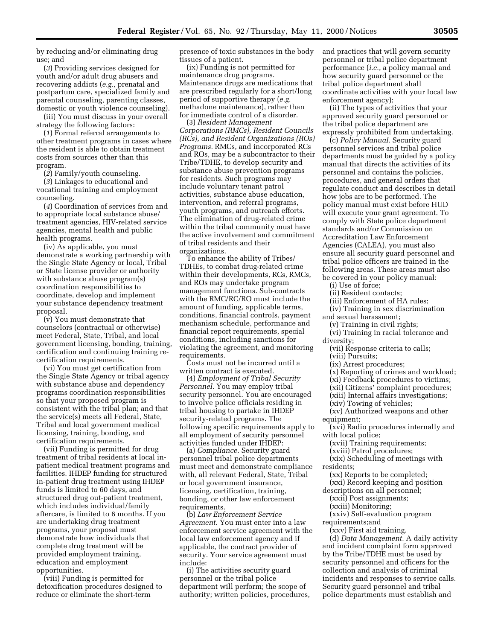by reducing and/or eliminating drug use; and

(*3*) Providing services designed for youth and/or adult drug abusers and recovering addicts (*e.g.*, prenatal and postpartum care, specialized family and parental counseling, parenting classes, domestic or youth violence counseling).

(iii) You must discuss in your overall strategy the following factors:

(*1*) Formal referral arrangements to other treatment programs in cases where the resident is able to obtain treatment costs from sources other than this program.

(*2*) Family/youth counseling.

(*3*) Linkages to educational and vocational training and employment counseling.

(*4*) Coordination of services from and to appropriate local substance abuse/ treatment agencies, HIV-related service agencies, mental health and public health programs.

(iv) As applicable, you must demonstrate a working partnership with the Single State Agency or local, Tribal or State license provider or authority with substance abuse program(s) coordination responsibilities to coordinate, develop and implement your substance dependency treatment proposal.

(v) You must demonstrate that counselors (contractual or otherwise) meet Federal, State, Tribal, and local government licensing, bonding, training, certification and continuing training recertification requirements.

(vi) You must get certification from the Single State Agency or tribal agency with substance abuse and dependency programs coordination responsibilities so that your proposed program is consistent with the tribal plan; and that the service(s) meets all Federal, State, Tribal and local government medical licensing, training, bonding, and certification requirements.

(vii) Funding is permitted for drug treatment of tribal residents at local inpatient medical treatment programs and facilities. IHDEP funding for structured in-patient drug treatment using IHDEP funds is limited to 60 days, and structured drug out-patient treatment, which includes individual/family aftercare, is limited to 6 months. If you are undertaking drug treatment programs, your proposal must demonstrate how individuals that complete drug treatment will be provided employment training, education and employment opportunities.

(viii) Funding is permitted for detoxification procedures designed to reduce or eliminate the short-term

presence of toxic substances in the body tissues of a patient.

(ix) Funding is not permitted for maintenance drug programs. Maintenance drugs are medications that are prescribed regularly for a short/long period of supportive therapy (*e.g.* methadone maintenance), rather than for immediate control of a disorder.

(3) *Resident Management Corporations (RMCs), Resident Councils (RCs), and Resident Organizations (ROs) Programs.* RMCs, and incorporated RCs and ROs, may be a subcontractor to their Tribe/TDHE, to develop security and substance abuse prevention programs for residents. Such programs may include voluntary tenant patrol activities, substance abuse education, intervention, and referral programs, youth programs, and outreach efforts. The elimination of drug-related crime within the tribal community must have the active involvement and commitment of tribal residents and their organizations.

To enhance the ability of Tribes/ TDHEs, to combat drug-related crime within their developments, RCs, RMCs, and ROs may undertake program management functions. Sub-contracts with the RMC/RC/RO must include the amount of funding, applicable terms, conditions, financial controls, payment mechanism schedule, performance and financial report requirements, special conditions, including sanctions for violating the agreement, and monitoring requirements.

Costs must not be incurred until a written contract is executed.

(4) *Employment of Tribal Security Personnel.* You may employ tribal security personnel. You are encouraged to involve police officials residing in tribal housing to partake in IHDEP security-related programs. The following specific requirements apply to all employment of security personnel activities funded under IHDEP:

(a) *Compliance.* Security guard personnel tribal police departments must meet and demonstrate compliance with, all relevant Federal, State, Tribal or local government insurance, licensing, certification, training, bonding, or other law enforcement requirements.

(b) *Law Enforcement Service Agreement.* You must enter into a law enforcement service agreement with the local law enforcement agency and if applicable, the contract provider of security. Your service agreement must include:

(i) The activities security guard personnel or the tribal police department will perform; the scope of authority; written policies, procedures, and practices that will govern security personnel or tribal police department performance (*i.e.*, a policy manual and how security guard personnel or the tribal police department shall coordinate activities with your local law enforcement agency);

(ii) The types of activities that your approved security guard personnel or the tribal police department are expressly prohibited from undertaking.

(c) *Policy Manual.* Security guard personnel services and tribal police departments must be guided by a policy manual that directs the activities of its personnel and contains the policies, procedures, and general orders that regulate conduct and describes in detail how jobs are to be performed. The policy manual must exist before HUD will execute your grant agreement. To comply with State police department standards and/or Commission on Accreditation Law Enforcement Agencies (CALEA), you must also ensure all security guard personnel and tribal police officers are trained in the following areas. These areas must also be covered in your policy manual:

(i) Use of force;

(ii) Resident contacts;

(iii) Enforcement of HA rules;

(iv) Training in sex discrimination and sexual harassment;

(v) Training in civil rights;

(vi) Training in racial tolerance and diversity;

(vii) Response criteria to calls;

(viii) Pursuits;

(ix) Arrest procedures;

(x) Reporting of crimes and workload;

(xi) Feedback procedures to victims;

(xii) Citizens' complaint procedures;

(xiii) Internal affairs investigations;

(xiv) Towing of vehicles;

(xv) Authorized weapons and other equipment;

(xvi) Radio procedures internally and with local police;

(xvii) Training requirements;

(xviii) Patrol procedures;

(xix) Scheduling of meetings with residents;

(xx) Reports to be completed;

(xxi) Record keeping and position descriptions on all personnel;

(xxii) Post assignments;

(xxiii) Monitoring;

(xxiv) Self-evaluation program

requirements;and

(xxv) First aid training.

(d) *Data Management.* A daily activity and incident complaint form approved by the Tribe/TDHE must be used by security personnel and officers for the collection and analysis of criminal incidents and responses to service calls. Security guard personnel and tribal police departments must establish and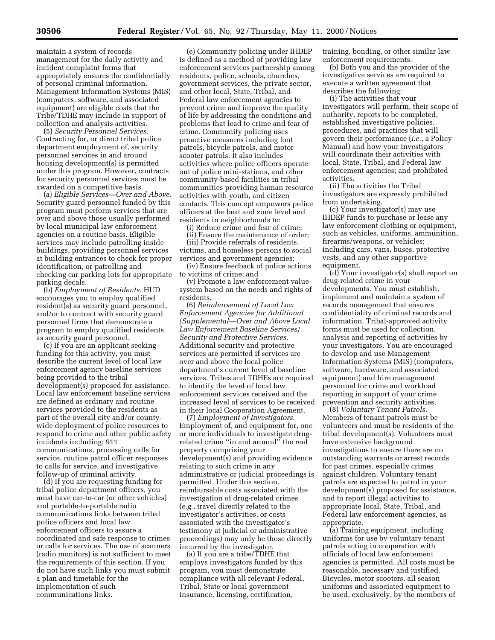(computers, software, and associated equipment) are eligible costs that the Tribe/TDHE may include in support of collection and analysis activities. (5) *Security Personnel Services.*

Contracting for, or direct tribal police department employment of, security personnel services in and around housing development(s) is permitted under this program. However, contracts for security personnel services must be awarded on a competitive basis.

(a) *Eligible Services—Over and Above.* Security guard personnel funded by this program must perform services that are over and above those usually performed by local municipal law enforcement agencies on a routine basis. Eligible services may include patrolling inside buildings, providing personnel services at building entrances to check for proper identification, or patrolling and checking car parking lots for appropriate parking decals.

(b) *Employment of Residents.* HUD encourages you to employ qualified resident(s) as security guard personnel, and/or to contract with security guard personnel firms that demonstrate a program to employ qualified residents as security guard personnel.

(c) If you are an applicant seeking funding for this activity, you must describe the current level of local law enforcement agency baseline services being provided to the tribal development(s) proposed for assistance. Local law enforcement baseline services are defined as ordinary and routine services provided to the residents as part of the overall city and/or countywide deployment of police resources to respond to crime and other public safety incidents including: 911 communications, processing calls for service, routine patrol officer responses to calls for service, and investigative follow-up of criminal activity.

(d) If you are requesting funding for tribal police department officers, you must have car-to-car (or other vehicles) and portable-to-portable radio communications links between tribal police officers and local law enforcement officers to assure a coordinated and safe response to crimes or calls for services. The use of scanners (radio monitors) is not sufficient to meet the requirements of this section. If you do not have such links you must submit a plan and timetable for the implementation of such communications links.

(e) Community policing under IHDEP is defined as a method of providing law enforcement services partnership among residents, police, schools, churches, government services, the private sector, and other local, State, Tribal, and Federal law enforcement agencies to prevent crime and improve the quality of life by addressing the conditions and problems that lead to crime and fear of crime. Community policing uses proactive measures including foot patrols, bicycle patrols, and motor scooter patrols. It also includes activities where police officers operate out of police mini-stations, and other community-based facilities in tribal communities providing human resource activities with youth, and citizen contacts. This concept empowers police officers at the beat and zone level and residents in neighborhoods to:

(i) Reduce crime and fear of crime;

(ii) Ensure the maintenance of order; (iii) Provide referrals of residents,

victims, and homeless persons to social services and government agencies;

(iv) Ensure feedback of police actions to victims of crime; and

(v) Promote a law enforcement value system based on the needs and rights of residents.

(6) *Reimbursement of Local Law Enforcement Agencies for Additional (Supplemental—Over and Above Local Law Enforcement Baseline Services) Security and Protective Services.* Additional security and protective services are permitted if services are over and above the local police department's current level of baseline services. Tribes and TDHEs are required to identify the level of local law enforcement services received and the increased level of services to be received in their local Cooperation Agreement.

(7) *Employment of Investigators.* Employment of, and equipment for, one or more individuals to investigate drugrelated crime ''in and around'' the real property comprising your development(s) and providing evidence relating to such crime in any administrative or judicial proceedings is permitted. Under this section, reimbursable costs associated with the investigation of drug-related crimes (*e.g.*, travel directly related to the investigator's activities, or costs associated with the investigator's testimony at judicial or administrative proceedings) may only be those directly incurred by the investigator.

(a) If you are a tribe/TDHE that employs investigators funded by this program, you must demonstrate compliance with all relevant Federal, Tribal, State or local government insurance, licensing, certification,

training, bonding, or other similar law enforcement requirements.

(b) Both you and the provider of the investigative services are required to execute a written agreement that describes the following:

(i) The activities that your investigators will perform, their scope of authority, reports to be completed, established investigative policies, procedures, and practices that will govern their performance (*i.e.,* a Policy Manual) and how your investigators will coordinate their activities with local, State, Tribal, and Federal law enforcement agencies; and prohibited activities.

(ii) The activities the Tribal investigators are expressly prohibited from undertaking.

(c) Your investigator(s) may use IHDEP funds to purchase or lease any law enforcement clothing or equipment, such as vehicles, uniforms, ammunition, firearms/weapons, or vehicles; including cars, vans, buses, protective vests, and any other supportive equipment.

(d) Your investigator(s) shall report on drug-related crime in your developments. You must establish, implement and maintain a system of records management that ensures confidentiality of criminal records and information. Tribal-approved activity forms must be used for collection, analysis and reporting of activities by your investigators. You are encouraged to develop and use Management Information Systems (MIS) (computers, software, hardware, and associated equipment) and hire management personnel for crime and workload reporting in support of your crime prevention and security activities.

(8) *Voluntary Tenant Patrols.* Members of tenant patrols must be volunteers and must be residents of the tribal development(s). Volunteers must have extensive background investigations to ensure there are no outstanding warrants or arrest records for past crimes, especially crimes against children. Voluntary tenant patrols are expected to patrol in your development(s) proposed for assistance, and to report illegal activities to appropriate local, State, Tribal, and Federal law enforcement agencies, as appropriate.

(a) Training equipment, including uniforms for use by voluntary tenant patrols acting in cooperation with officials of local law enforcement agencies is permitted. All costs must be reasonable, necessary and justified. Bicycles, motor scooters, all season uniforms and associated equipment to be used, exclusively, by the members of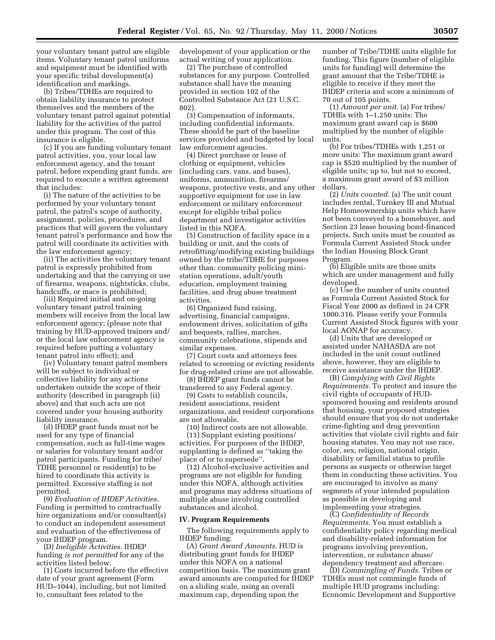your voluntary tenant patrol are eligible items. Voluntary tenant patrol uniforms and equipment must be identified with your specific tribal development(s) identification and markings.

(b) Tribes/TDHEs are required to obtain liability insurance to protect themselves and the members of the voluntary tenant patrol against potential liability for the activities of the patrol under this program. The cost of this insurance is eligible.

(c) If you are funding voluntary tenant patrol activities, you, your local law enforcement agency, and the tenant patrol, before expending grant funds, are required to execute a written agreement that includes:

(i) The nature of the activities to be performed by your voluntary tenant patrol, the patrol's scope of authority, assignment, policies, procedures, and practices that will govern the voluntary tenant patrol's performance and how the patrol will coordinate its activities with the law enforcement agency;

(ii) The activities the voluntary tenant patrol is expressly prohibited from undertaking and that the carrying or use of firearms, weapons, nightsticks, clubs, handcuffs, or mace is prohibited;

(iii) Required initial and on-going voluntary tenant patrol training members will receive from the local law enforcement agency; (please note that training by HUD-approved trainers and/ or the local law enforcement agency is required before putting a voluntary tenant patrol into effect); and

(iv) Voluntary tenant patrol members will be subject to individual or collective liability for any actions undertaken outside the scope of their authority (described in paragraph (ii) above) and that such acts are not covered under your housing authority liability insurance.

(d) IHDEP grant funds must not be used for any type of financial compensation, such as full-time wages or salaries for voluntary tenant and/or patrol participants. Funding for tribe/ TDHE personnel or resident(s) to be hired to coordinate this activity is permitted. Excessive staffing is not permitted.

(9) *Evaluation of IHDEP Activities.* Funding is permitted to contractually hire organizations and/or consultant(s) to conduct an independent assessment and evaluation of the effectiveness of your IHDEP program.

(D) *Ineligible Activities.* IHDEP funding *is not permitted* for any of the activities listed below.

(1) Costs incurred before the effective date of your grant agreement (Form HUD–1044), including, but not limited to, consultant fees related to the

development of your application or the actual writing of your application.

(2) The purchase of controlled substances for any purpose. Controlled substance shall have the meaning provided in section 102 of the Controlled Substance Act (21 U.S.C. 802).

(3) Compensation of informants, including confidential informants. These should be part of the baseline services provided and budgeted by local law enforcement agencies.

(4) Direct purchase or lease of clothing or equipment, vehicles (including cars, vans, and buses), uniforms, ammunition, firearms/ weapons, protective vests, and any other supportive equipment for use in law enforcement or military enforcement except for eligible tribal police department and investigator activities listed in this NOFA.

(5) Construction of facility space in a building or unit, and the costs of retrofitting/modifying existing buildings owned by the tribe/TDHE for purposes other than: community policing ministation operations, adult/youth education, employment training facilities, and drug abuse treatment activities.

(6) Organized fund raising, advertising, financial campaigns, endowment drives, solicitation of gifts and bequests, rallies, marches, community celebrations, stipends and similar expenses.

(7) Court costs and attorneys fees related to screening or evicting residents for drug-related crime are not allowable.

(8) IHDEP grant funds cannot be transferred to any Federal agency.

(9) Costs to establish councils, resident associations, resident organizations, and resident corporations are not allowable.

(10) Indirect costs are not allowable.

(11) Supplant existing positions/ activities. For purposes of the IHDEP, supplanting is defined as ''taking the place of or to supersede''.

(12) Alcohol-exclusive activities and programs are not eligible for funding under this NOFA, although activities and programs may address situations of multiple abuse involving controlled substances and alcohol.

#### **IV. Program Requirements**

The following requirements apply to IHDEP funding:

(A) *Grant Award Amounts.* HUD is distributing grant funds for IHDEP under this NOFA on a national competition basis. The maximum grant award amounts are computed for IHDEP on a sliding scale, using an overall maximum cap, depending upon the

number of Tribe/TDHE units eligible for funding. This figure (number of eligible units for funding) will determine the grant amount that the Tribe/TDHE is eligible to receive if they meet the IHDEP criteria and score a minimum of 70 out of 105 points.

(1) *Amount per unit.* (a) For tribes/ TDHEs with 1–1,250 units: The maximum grant award cap is \$600 multiplied by the number of eligible units.

(b) For tribes/TDHEs with 1,251 or more units: The maximum grant award cap is \$520 multiplied by the number of eligible units; up to, but not to exceed, a maximum grant award of \$3 million dollars.

(2) *Units counted.* (a) The unit count includes rental, Turnkey III and Mutual Help Homeownership units which have not been conveyed to a homebuyer, and Section 23 lease housing bond-financed projects. Such units must be counted as Formula Current Assisted Stock under the Indian Housing Block Grant Program.

(b) Eligible units are those units which are under management and fully developed.

(c) Use the number of units counted as Formula Current Assisted Stock for Fiscal Year 2000 as defined in 24 CFR 1000.316. Please verify your Formula Current Assisted Stock figures with your local AONAP for accuracy.

(d) Units that are developed or assisted under NAHASDA are not included in the unit count outlined above, however, they are eligible to receive assistance under the IHDEP.

(B) *Complying with Civil Rights Requirements.* To protect and insure the civil rights of occupants of HUDsponsored housing and residents around that housing, your proposed strategies should ensure that you do not undertake crime-fighting and drug prevention activities that violate civil rights and fair housing statutes. You may not use race, color, sex, religion, national origin, disability or familial status to profile persons as suspects or otherwise target them in conducting these activities. You are encouraged to involve as many segments of your intended population as possible in developing and implementing your strategies.

(C) *Confidentiality of Records Requirements.* You must establish a confidentiality policy regarding medical and disability-related information for programs involving prevention, intervention, or substance abuse/ dependency treatment and aftercare.

(D) *Commingling of Funds.* Tribes or TDHEs must not commingle funds of multiple HUD programs including: Economic Development and Supportive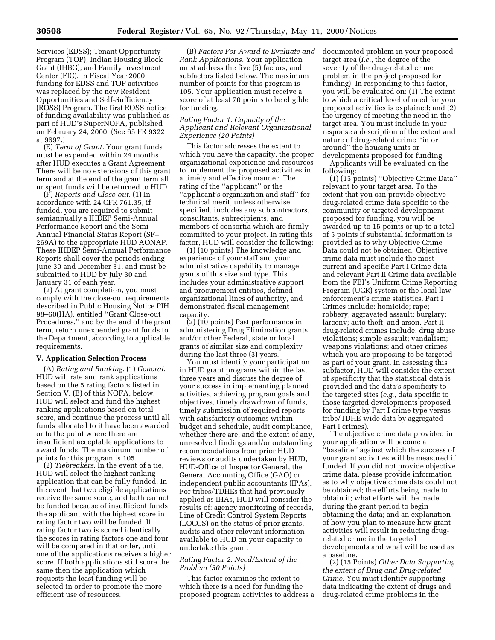Services (EDSS); Tenant Opportunity Program (TOP); Indian Housing Block Grant (IHBG); and Family Investment Center (FIC). In Fiscal Year 2000, funding for EDSS and TOP activities was replaced by the new Resident Opportunities and Self-Sufficiency (ROSS) Program. The first ROSS notice of funding availability was published as part of HUD's SuperNOFA, published on February 24, 2000. (See 65 FR 9322 at 9697.)

(E) *Term of Grant.* Your grant funds must be expended within 24 months after HUD executes a Grant Agreement. There will be no extensions of this grant term and at the end of the grant term all unspent funds will be returned to HUD.

(F) *Reports and Close-out.* (1) In accordance with 24 CFR 761.35, if funded, you are required to submit semiannually a IHDEP Semi-Annual Performance Report and the Semi-Annual Financial Status Report (SF– 269A) to the appropriate HUD AONAP. These IHDEP Semi-Annual Performance Reports shall cover the periods ending June 30 and December 31, and must be submitted to HUD by July 30 and January 31 of each year.

(2) At grant completion, you must comply with the close-out requirements described in Public Housing Notice PIH 98–60(HA), entitled ''Grant Close-out Procedures,'' and by the end of the grant term, return unexpended grant funds to the Department, according to applicable requirements.

#### **V. Application Selection Process**

(A) *Rating and Ranking.* (1) *General.* HUD will rate and rank applications based on the 5 rating factors listed in Section V. (B) of this NOFA, below. HUD will select and fund the highest ranking applications based on total score, and continue the process until all funds allocated to it have been awarded or to the point where there are insufficient acceptable applications to award funds. The maximum number of points for this program is 105.

(2) *Tiebreakers.* In the event of a tie, HUD will select the highest ranking application that can be fully funded. In the event that two eligible applications receive the same score, and both cannot be funded because of insufficient funds, the applicant with the highest score in rating factor two will be funded. If rating factor two is scored identically, the scores in rating factors one and four will be compared in that order, until one of the applications receives a higher score. If both applications still score the same then the application which requests the least funding will be selected in order to promote the more efficient use of resources.

(B) *Factors For Award to Evaluate and Rank Applications.* Your application must address the five (5) factors, and subfactors listed below. The maximum number of points for this program is 105. Your application must receive a score of at least 70 points to be eligible for funding.

#### *Rating Factor 1: Capacity of the Applicant and Relevant Organizational Experience (20 Points)*

This factor addresses the extent to which you have the capacity, the proper organizational experience and resources to implement the proposed activities in a timely and effective manner. The rating of the ''applicant'' or the ''applicant's organization and staff'' for technical merit, unless otherwise specified, includes any subcontractors, consultants, subrecipients, and members of consortia which are firmly committed to your project. In rating this factor, HUD will consider the following:

(1) (10 points) The knowledge and experience of your staff and your administrative capability to manage grants of this size and type. This includes your administrative support and procurement entities, defined organizational lines of authority, and demonstrated fiscal management capacity.

(2) (10 points) Past performance in administering Drug Elimination grants and/or other Federal, state or local grants of similar size and complexity during the last three (3) years.

You must identify your participation in HUD grant programs within the last three years and discuss the degree of your success in implementing planned activities, achieving program goals and objectives, timely drawdown of funds, timely submission of required reports with satisfactory outcomes within budget and schedule, audit compliance, whether there are, and the extent of any, unresolved findings and/or outstanding recommendations from prior HUD reviews or audits undertaken by HUD, HUD-Office of Inspector General, the General Accounting Office (GAO) or independent public accountants (IPAs). For tribes/TDHEs that had previously applied as IHAs, HUD will consider the results of: agency monitoring of records, Line of Credit Control System Reports (LOCCS) on the status of prior grants, audits and other relevant information available to HUD on your capacity to undertake this grant.

#### *Rating Factor 2: Need/Extent of the Problem (30 Points)*

This factor examines the extent to which there is a need for funding the proposed program activities to address a documented problem in your proposed target area (*i.e.*, the degree of the severity of the drug-related crime problem in the project proposed for funding). In responding to this factor, you will be evaluated on: (1) The extent to which a critical level of need for your proposed activities is explained; and (2) the urgency of meeting the need in the target area. You must include in your response a description of the extent and nature of drug-related crime ''in or around'' the housing units or developments proposed for funding.

Applicants will be evaluated on the following:

(1) (15 points) ''Objective Crime Data'' relevant to your target area. To the extent that you can provide objective drug-related crime data specific to the community or targeted development proposed for funding, you will be awarded up to 15 points or up to a total of 5 points if substantial information is provided as to why Objective Crime Data could not be obtained. Objective crime data must include the most current and specific Part I Crime data and relevant Part II Crime data available from the FBI's Uniform Crime Reporting Program (UCR) system or the local law enforcement's crime statistics. Part I Crimes include: homicide; rape; robbery; aggravated assault; burglary; larceny; auto theft; and arson. Part II drug-related crimes include: drug abuse violations; simple assault; vandalism; weapons violations; and other crimes which you are proposing to be targeted as part of your grant. In assessing this subfactor, HUD will consider the extent of specificity that the statistical data is provided and the data's specificity to the targeted sites (*e.g.*, data specific to those targeted developments proposed for funding by Part I crime type versus tribe/TDHE-wide data by aggregated Part I crimes).

The objective crime data provided in your application will become a ''baseline'' against which the success of your grant activities will be measured if funded. If you did not provide objective crime data, please provide information as to why objective crime data could not be obtained; the efforts being made to obtain it; what efforts will be made during the grant period to begin obtaining the data; and an explanation of how you plan to measure how grant activities will result in reducing drugrelated crime in the targeted developments and what will be used as a baseline.

(2) (15 Points) *Other Data Supporting the extent of Drug and Drug-related Crime.* You must identify supporting data indicating the extent of drugs and drug-related crime problems in the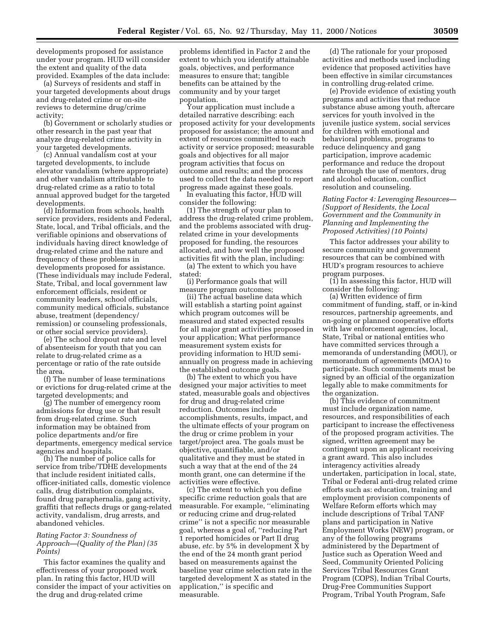developments proposed for assistance under your program. HUD will consider the extent and quality of the data provided. Examples of the data include:

(a) Surveys of residents and staff in your targeted developments about drugs and drug-related crime or on-site reviews to determine drug/crime activity;

(b) Government or scholarly studies or other research in the past year that analyze drug-related crime activity in your targeted developments.

(c) Annual vandalism cost at your targeted developments, to include elevator vandalism (where appropriate) and other vandalism attributable to drug-related crime as a ratio to total annual approved budget for the targeted developments.

(d) Information from schools, health service providers, residents and Federal, State, local, and Tribal officials, and the verifiable opinions and observations of individuals having direct knowledge of drug-related crime and the nature and frequency of these problems in developments proposed for assistance. (These individuals may include Federal, State, Tribal, and local government law enforcement officials, resident or community leaders, school officials, community medical officials, substance abuse, treatment (dependency/ remission) or counseling professionals, or other social service providers).

(e) The school dropout rate and level of absenteeism for youth that you can relate to drug-related crime as a percentage or ratio of the rate outside the area.

(f) The number of lease terminations or evictions for drug-related crime at the targeted developments; and

(g) The number of emergency room admissions for drug use or that result from drug-related crime. Such information may be obtained from police departments and/or fire departments, emergency medical service agencies and hospitals.

(h) The number of police calls for service from tribe/TDHE developments that include resident initiated calls, officer-initiated calls, domestic violence calls, drug distribution complaints, found drug paraphernalia, gang activity, graffiti that reflects drugs or gang-related activity, vandalism, drug arrests, and abandoned vehicles.

#### *Rating Factor 3: Soundness of Approach—(Quality of the Plan) (35 Points)*

This factor examines the quality and effectiveness of your proposed work plan. In rating this factor, HUD will consider the impact of your activities on the drug and drug-related crime

problems identified in Factor 2 and the extent to which you identify attainable goals, objectives, and performance measures to ensure that; tangible benefits can be attained by the community and by your target population.

Your application must include a detailed narrative describing: each proposed activity for your developments proposed for assistance; the amount and extent of resources committed to each activity or service proposed; measurable goals and objectives for all major program activities that focus on outcome and results; and the process used to collect the data needed to report progress made against these goals.

In evaluating this factor, HUD will consider the following:

(1) The strength of your plan to address the drug-related crime problem, and the problems associated with drugrelated crime in your developments proposed for funding, the resources allocated, and how well the proposed activities fit with the plan, including:

(a) The extent to which you have stated:

(i) Performance goals that will measure program outcomes;

(ii) The actual baseline data which will establish a starting point against which program outcomes will be measured and stated expected results for all major grant activities proposed in your application; What performance measurement system exists for providing information to HUD semiannually on progress made in achieving the established outcome goals.

(b) The extent to which you have designed your major activities to meet stated, measurable goals and objectives for drug and drug-related crime reduction. Outcomes include accomplishments, results, impact, and the ultimate effects of your program on the drug or crime problem in your target/project area. The goals must be objective, quantifiable, and/or qualitative and they must be stated in such a way that at the end of the 24 month grant, one can determine if the activities were effective.

(c) The extent to which you define specific crime reduction goals that are measurable. For example, ''eliminating or reducing crime and drug-related crime'' is not a specific nor measurable goal, whereas a goal of, ''reducing Part 1 reported homicides or Part II drug abuse, *etc.* by 5% in development X by the end of the 24 month grant period based on measurements against the baseline year crime selection rate in the targeted development X as stated in the application,'' is specific and measurable.

(d) The rationale for your proposed activities and methods used including evidence that proposed activities have been effective in similar circumstances in controlling drug-related crime.

(e) Provide evidence of existing youth programs and activities that reduce substance abuse among youth, aftercare services for youth involved in the juvenile justice system, social services for children with emotional and behavioral problems, programs to reduce delinquency and gang participation, improve academic performance and reduce the dropout rate through the use of mentors, drug and alcohol education, conflict resolution and counseling.

*Rating Factor 4: Leveraging Resources— (Support of Residents, the Local Government and the Community in Planning and Implementing the Proposed Activities) (10 Points)*

This factor addresses your ability to secure community and government resources that can be combined with HUD's program resources to achieve program purposes.

(1) In assessing this factor, HUD will consider the following:

(a) Written evidence of firm commitment of funding, staff, or in-kind resources, partnership agreements, and on-going or planned cooperative efforts with law enforcement agencies, local, State, Tribal or national entities who have committed services through a memoranda of understanding (MOU), or memorandum of agreements (MOA) to participate. Such commitments must be signed by an official of the organization legally able to make commitments for the organization.

(b) This evidence of commitment must include organization name, resources, and responsibilities of each participant to increase the effectiveness of the proposed program activities. The signed, written agreement may be contingent upon an applicant receiving a grant award. This also includes interagency activities already undertaken, participation in local, state, Tribal or Federal anti-drug related crime efforts such as: education, training and employment provision components of Welfare Reform efforts which may include descriptions of Tribal TANF plans and participation in Native Employment Works (NEW) program, or any of the following programs administered by the Department of Justice such as Operation Weed and Seed, Community Oriented Policing Services Tribal Resources Grant Program (COPS), Indian Tribal Courts, Drug-Free Communities Support Program, Tribal Youth Program, Safe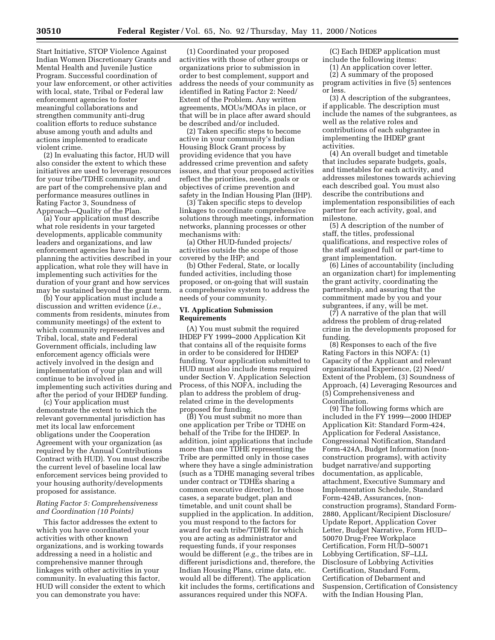Start Initiative, STOP Violence Against Indian Women Discretionary Grants and Mental Health and Juvenile Justice Program. Successful coordination of your law enforcement, or other activities with local, state, Tribal or Federal law enforcement agencies to foster meaningful collaborations and strengthen community anti-drug coalition efforts to reduce substance abuse among youth and adults and actions implemented to eradicate violent crime.

(2) In evaluating this factor, HUD will also consider the extent to which these initiatives are used to leverage resources for your tribe/TDHE community, and are part of the comprehensive plan and performance measures outlines in Rating Factor 3, Soundness of Approach—Quality of the Plan.

(a) Your application must describe what role residents in your targeted developments, applicable community leaders and organizations, and law enforcement agencies have had in planning the activities described in your application, what role they will have in implementing such activities for the duration of your grant and how services may be sustained beyond the grant term.

(b) Your application must include a discussion and written evidence (*i.e.*, comments from residents, minutes from community meetings) of the extent to which community representatives and Tribal, local, state and Federal Government officials, including law enforcement agency officials were actively involved in the design and implementation of your plan and will continue to be involved in implementing such activities during and after the period of your IHDEP funding.

(c) Your application must demonstrate the extent to which the relevant governmental jurisdiction has met its local law enforcement obligations under the Cooperation Agreement with your organization (as required by the Annual Contributions Contract with HUD). You must describe the current level of baseline local law enforcement services being provided to your housing authority/developments proposed for assistance.

#### *Rating Factor 5: Comprehensiveness and Coordination (10 Points)*

This factor addresses the extent to which you have coordinated your activities with other known organizations, and is working towards addressing a need in a holistic and comprehensive manner through linkages with other activities in your community. In evaluating this factor, HUD will consider the extent to which you can demonstrate you have:

(1) Coordinated your proposed activities with those of other groups or organizations prior to submission in order to best complement, support and address the needs of your community as identified in Rating Factor 2: Need/ Extent of the Problem. Any written agreements, MOUs/MOAs in place, or that will be in place after award should be described and/or included.

(2) Taken specific steps to become active in your community's Indian Housing Block Grant process by providing evidence that you have addressed crime prevention and safety issues, and that your proposed activities reflect the priorities, needs, goals or objectives of crime prevention and safety in the Indian Housing Plan (IHP).

(3) Taken specific steps to develop linkages to coordinate comprehensive solutions through meetings, information networks, planning processes or other mechanisms with:

(a) Other HUD-funded projects/ activities outside the scope of those covered by the IHP; and

(b) Other Federal, State, or locally funded activities, including those proposed, or on-going that will sustain a comprehensive system to address the needs of your community.

#### **VI. Application Submission Requirements**

(A) You must submit the required IHDEP FY 1999–2000 Application Kit that contains all of the requisite forms in order to be considered for IHDEP funding. Your application submitted to HUD must also include items required under Section V. Application Selection Process, of this NOFA, including the plan to address the problem of drugrelated crime in the developments proposed for funding.

(B) You must submit no more than one application per Tribe or TDHE on behalf of the Tribe for the IHDEP. In addition, joint applications that include more than one TDHE representing the Tribe are permitted only in those cases where they have a single administration (such as a TDHE managing several tribes under contract or TDHEs sharing a common executive director). In those cases, a separate budget, plan and timetable, and unit count shall be supplied in the application. In addition, you must respond to the factors for award for each tribe/TDHE for which you are acting as administrator and requesting funds, if your responses would be different (*e.g.,* the tribes are in different jurisdictions and, therefore, the Indian Housing Plans, crime data, etc. would all be different). The application kit includes the forms, certifications and assurances required under this NOFA.

(C) Each IHDEP application must include the following items:

(1) An application cover letter.

(2) A summary of the proposed program activities in five (5) sentences or less.

(3) A description of the subgrantees, if applicable. The description must include the names of the subgrantees, as well as the relative roles and contributions of each subgrantee in implementing the IHDEP grant activities.

(4) An overall budget and timetable that includes separate budgets, goals, and timetables for each activity, and addresses milestones towards achieving each described goal. You must also describe the contributions and implementation responsibilities of each partner for each activity, goal, and milestone.

(5) A description of the number of staff, the titles, professional qualifications, and respective roles of the staff assigned full or part-time to grant implementation.

(6) Lines of accountability (including an organization chart) for implementing the grant activity, coordinating the partnership, and assuring that the commitment made by you and your subgrantees, if any, will be met.

(7) A narrative of the plan that will address the problem of drug-related crime in the developments proposed for funding.

(8) Responses to each of the five Rating Factors in this NOFA: (1) Capacity of the Applicant and relevant organizational Experience, (2) Need/ Extent of the Problem, (3) Soundness of Approach, (4) Leveraging Resources and (5) Comprehensiveness and Coordination.

(9) The following forms which are included in the FY 1999—2000 IHDEP Application Kit: Standard Form-424, Application for Federal Assistance, Congressional Notification, Standard Form-424A, Budget Information (nonconstruction programs), with activity budget narrative/and supporting documentation, as applicable, attachment, Executive Summary and Implementation Schedule, Standard Form-424B, Assurances, (nonconstruction programs), Standard Form-2880, Applicant/Recipient Disclosure/ Update Report, Application Cover Letter, Budget Narrative, Form HUD– 50070 Drug-Free Workplace Certification, Form HUD–50071 Lobbying Certification, SF–LLL Disclosure of Lobbying Activities Certification, Standard Form, Certification of Debarment and Suspension, Certification of Consistency with the Indian Housing Plan,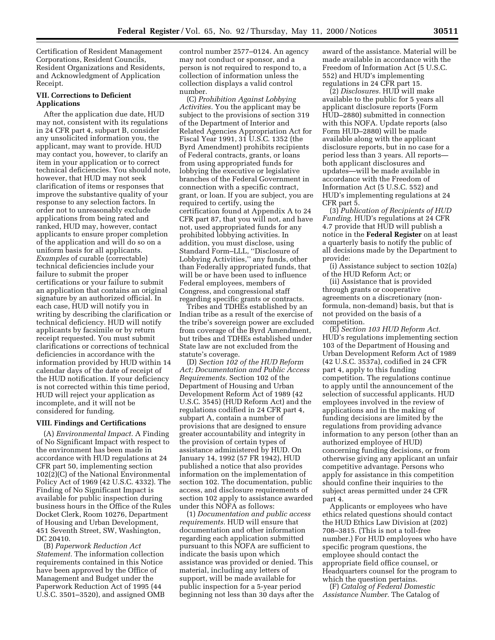Certification of Resident Management Corporations, Resident Councils, Resident Organizations and Residents, and Acknowledgment of Application Receipt.

#### **VII. Corrections to Deficient Applications**

After the application due date, HUD may not, consistent with its regulations in 24 CFR part 4, subpart B, consider any unsolicited information you, the applicant, may want to provide. HUD may contact you, however, to clarify an item in your application or to correct technical deficiencies. You should note, however, that HUD may not seek clarification of items or responses that improve the substantive quality of your response to any selection factors. In order not to unreasonably exclude applications from being rated and ranked, HUD may, however, contact applicants to ensure proper completion of the application and will do so on a uniform basis for all applicants. *Examples* of curable (correctable) technical deficiencies include your failure to submit the proper certifications or your failure to submit an application that contains an original signature by an authorized official. In each case, HUD will notify you in writing by describing the clarification or technical deficiency. HUD will notify applicants by facsimile or by return receipt requested. You must submit clarifications or corrections of technical deficiencies in accordance with the information provided by HUD within 14 calendar days of the date of receipt of the HUD notification. If your deficiency is not corrected within this time period, HUD will reject your application as incomplete, and it will not be considered for funding.

#### **VIII. Findings and Certifications**

(A) *Environmental Impact.* A Finding of No Significant Impact with respect to the environment has been made in accordance with HUD regulations at 24 CFR part 50, implementing section 102(2)(C) of the National Environmental Policy Act of 1969 (42 U.S.C. 4332). The Finding of No Significant Impact is available for public inspection during business hours in the Office of the Rules Docket Clerk, Room 10276, Department of Housing and Urban Development, 451 Seventh Street, SW, Washington, DC 20410.

(B) *Paperwork Reduction Act Statement.* The information collection requirements contained in this Notice have been approved by the Office of Management and Budget under the Paperwork Reduction Act of 1995 (44 U.S.C. 3501–3520), and assigned OMB control number 2577–0124. An agency may not conduct or sponsor, and a person is not required to respond to, a collection of information unless the collection displays a valid control number.

(C) *Prohibition Against Lobbying Activities.* You the applicant may be subject to the provisions of section 319 of the Department of Interior and Related Agencies Appropriation Act for Fiscal Year 1991, 31 U.S.C. 1352 (the Byrd Amendment) prohibits recipients of Federal contracts, grants, or loans from using appropriated funds for lobbying the executive or legislative branches of the Federal Government in connection with a specific contract, grant, or loan. If you are subject, you are required to certify, using the certification found at Appendix A to 24 CFR part 87, that you will not, and have not, used appropriated funds for any prohibited lobbying activities. In addition, you must disclose, using Standard Form–LLL, ''Disclosure of Lobbying Activities,'' any funds, other than Federally appropriated funds, that will be or have been used to influence Federal employees, members of Congress, and congressional staff regarding specific grants or contracts.

Tribes and TDHEs established by an Indian tribe as a result of the exercise of the tribe's sovereign power are excluded from coverage of the Byrd Amendment, but tribes and TDHEs established under State law are not excluded from the statute's coverage.

(D) *Section 102 of the HUD Reform Act; Documentation and Public Access Requirements.* Section 102 of the Department of Housing and Urban Development Reform Act of 1989 (42 U.S.C. 3545) (HUD Reform Act) and the regulations codified in 24 CFR part 4, subpart A, contain a number of provisions that are designed to ensure greater accountability and integrity in the provision of certain types of assistance administered by HUD. On January 14, 1992 (57 FR 1942), HUD published a notice that also provides information on the implementation of section 102. The documentation, public access, and disclosure requirements of section 102 apply to assistance awarded under this NOFA as follows:

(1) *Documentation and public access requirements.* HUD will ensure that documentation and other information regarding each application submitted pursuant to this NOFA are sufficient to indicate the basis upon which assistance was provided or denied. This material, including any letters of support, will be made available for public inspection for a 5-year period beginning not less than 30 days after the

award of the assistance. Material will be made available in accordance with the Freedom of Information Act (5 U.S.C. 552) and HUD's implementing regulations in 24 CFR part 15.

(2) *Disclosures.* HUD will make available to the public for 5 years all applicant disclosure reports (Form HUD–2880) submitted in connection with this NOFA. Update reports (also Form HUD–2880) will be made available along with the applicant disclosure reports, but in no case for a period less than 3 years. All reports both applicant disclosures and updates—will be made available in accordance with the Freedom of Information Act (5 U.S.C. 552) and HUD's implementing regulations at 24 CFR part 5.

(3) *Publication of Recipients of HUD Funding.* HUD's regulations at 24 CFR 4.7 provide that HUD will publish a notice in the **Federal Register** on at least a quarterly basis to notify the public of all decisions made by the Department to provide:

(i) Assistance subject to section 102(a) of the HUD Reform Act; or

(ii) Assistance that is provided through grants or cooperative agreements on a discretionary (nonformula, non-demand) basis, but that is not provided on the basis of a competition.

(E) *Section 103 HUD Reform Act.* HUD's regulations implementing section 103 of the Department of Housing and Urban Development Reform Act of 1989 (42 U.S.C. 3537a), codified in 24 CFR part 4, apply to this funding competition. The regulations continue to apply until the announcement of the selection of successful applicants. HUD employees involved in the review of applications and in the making of funding decisions are limited by the regulations from providing advance information to any person (other than an authorized employee of HUD) concerning funding decisions, or from otherwise giving any applicant an unfair competitive advantage. Persons who apply for assistance in this competition should confine their inquiries to the subject areas permitted under 24 CFR part 4.

Applicants or employees who have ethics related questions should contact the HUD Ethics Law Division at (202) 708–3815. (This is not a toll-free number.) For HUD employees who have specific program questions, the employee should contact the appropriate field office counsel, or Headquarters counsel for the program to which the question pertains.

(F) *Catalog of Federal Domestic Assistance Number.* The Catalog of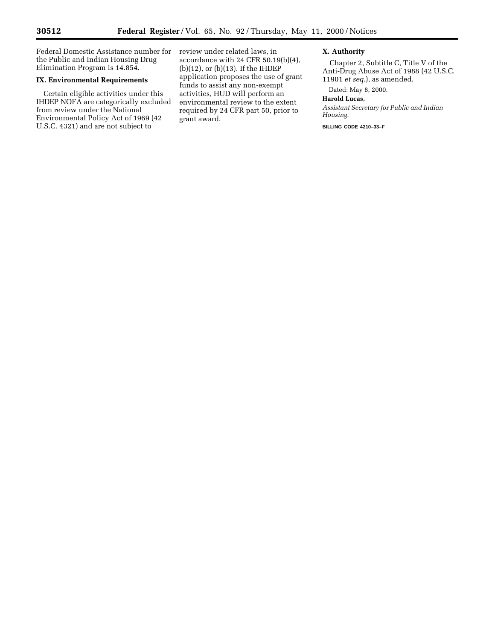▀

Federal Domestic Assistance number for the Public and Indian Housing Drug Elimination Program is 14.854.

## **IX. Environmental Requirements**

Certain eligible activities under this IHDEP NOFA are categorically excluded from review under the National Environmental Policy Act of 1969 (42 U.S.C. 4321) and are not subject to

review under related laws, in accordance with 24 CFR 50.19(b)(4), (b)(12), or (b)(13). If the IHDEP application proposes the use of grant funds to assist any non-exempt activities, HUD will perform an environmental review to the extent required by 24 CFR part 50, prior to grant award.

#### **X. Authority**

Chapter 2, Subtitle C, Title V of the Anti-Drug Abuse Act of 1988 (42 U.S.C. 11901 *et seq.*), as amended.

Dated: May 8, 2000.

## **Harold Lucas,**

*Assistant Secretary for Public and Indian Housing.*

**BILLING CODE 4210–33–F**